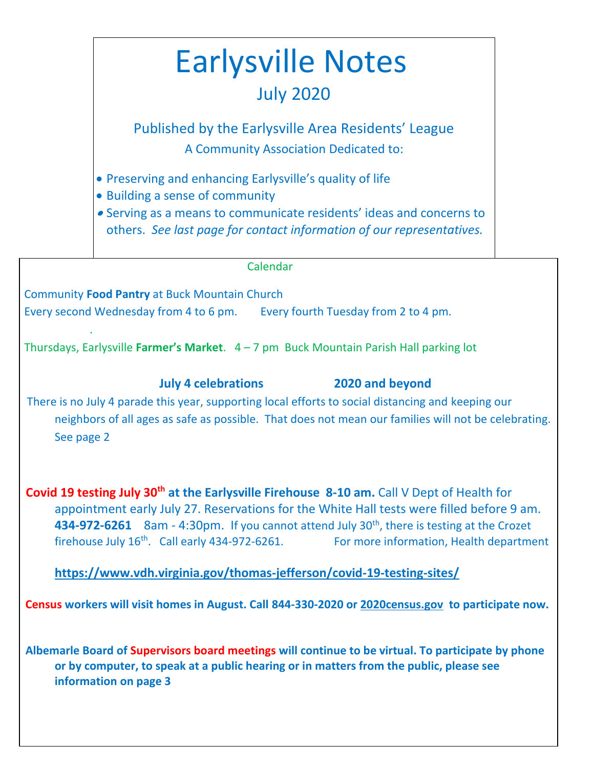# Earlysville Notes July 2020

Published by the Earlysville Area Residents' League A Community Association Dedicated to:

- Preserving and enhancing Earlysville's quality of life
- Building a sense of community
- Serving as a means to communicate residents' ideas and concerns to others. *See last page for contact information of our representatives.*

Calendar

Community **Food Pantry** at Buck Mountain Church Every second Wednesday from 4 to 6 pm. Every fourth Tuesday from 2 to 4 pm. .

Thursdays, Earlysville **Farmer's Market**. 4 – 7 pm Buck Mountain Parish Hall parking lot

**July 4 celebrations 2020 and beyond**

There is no July 4 parade this year, supporting local efforts to social distancing and keeping our neighbors of all ages as safe as possible. That does not mean our families will not be celebrating. See page 2

 **Covid 19 testing July 30th at the Earlysville Firehouse 8-10 am.** Call V Dept of Health for appointment early July 27. Reservations for the White Hall tests were filled before 9 am. **434-972-6261** 8am - 4:30pm. If you cannot attend July 30<sup>th</sup>, there is testing at the Crozet firehouse July  $16^{th}$ . Call early 434-972-6261. For more information, Health department

**https://www.vdh.virginia.gov/thomas-jefferson/covid-19-testing-sites/**

 **Census workers will visit homes in August. Call 844-330-2020 or 2020census.gov to participate now.**

 **Albemarle Board of Supervisors board meetings will continue to be virtual. To participate by phone or by computer, to speak at a public hearing or in matters from the public, please see information on page 3**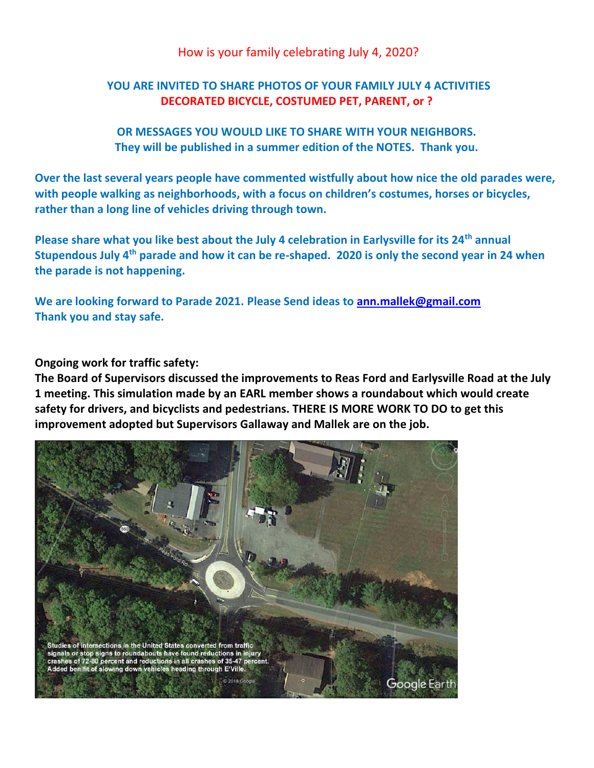#### How is your family celebrating July 4, 2020?

#### **YOU ARE INVITED TO SHARE PHOTOS OF YOUR FAMILY JULY 4 ACTIVITIES DECORATED BICYCLE, COSTUMED PET, PARENT, or ?**

**OR MESSAGES YOU WOULD LIKE TO SHARE WITH YOUR NEIGHBORS. They will be published in a summer edition of the NOTES. Thank you.**

**Over the last several years people have commented wistfully about how nice the old parades were, with people walking as neighborhoods, with a focus on children's costumes, horses or bicycles, rather than a long line of vehicles driving through town.** 

**Please share what you like best about the July 4 celebration in Earlysville for its 24th annual Stupendous July 4th parade and how it can be re-shaped. 2020 is only the second year in 24 when the parade is not happening.** 

**We are looking forward to Parade 2021. Please Send ideas to [ann.mallek@gmail.com](mailto:ann.mallek@gmail.com)  Thank you and stay safe.**

**Ongoing work for traffic safety:**

**The Board of Supervisors discussed the improvements to Reas Ford and Earlysville Road at the July 1 meeting. This simulation made by an EARL member shows a roundabout which would create safety for drivers, and bicyclists and pedestrians. THERE IS MORE WORK TO DO to get this improvement adopted but Supervisors Gallaway and Mallek are on the job.**

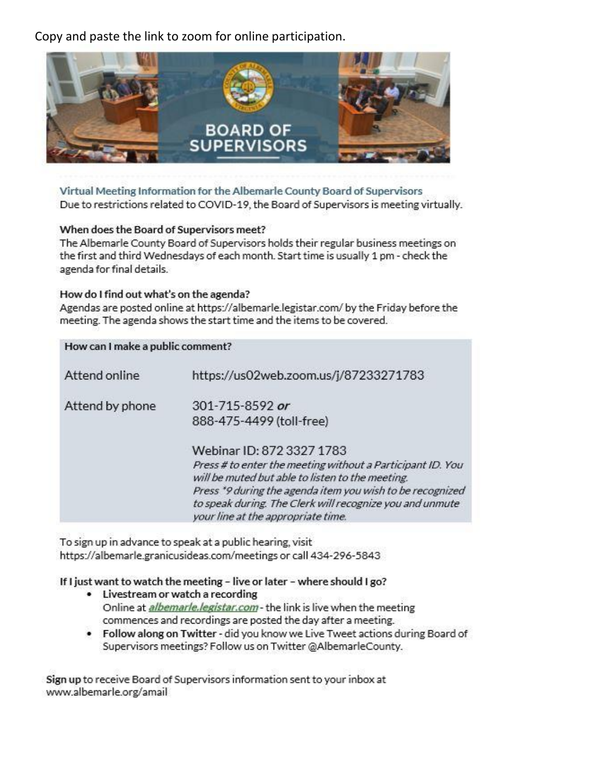Copy and paste the link to zoom for online participation.



Virtual Meeting Information for the Albemarle County Board of Supervisors Due to restrictions related to COVID-19, the Board of Supervisors is meeting virtually.

#### When does the Board of Supervisors meet?

The Albemarle County Board of Supervisors holds their regular business meetings on the first and third Wednesdays of each month. Start time is usually 1 pm - check the agenda for final details.

#### How do I find out what's on the agenda?

Agendas are posted online at https://albemarle.legistar.com/ by the Friday before the meeting. The agenda shows the start time and the items to be covered.

| How can I make a public comment? |                                                                                                                                                                                            |
|----------------------------------|--------------------------------------------------------------------------------------------------------------------------------------------------------------------------------------------|
| Attend online                    | https://us02web.zoom.us/j/87233271783                                                                                                                                                      |
| Attend by phone                  | 301-715-8592 or<br>888-475-4499 (toll-free)<br>Webinar ID: 872 3327 1783<br>Press # to enter the meeting without a Participant ID. You<br>will be muted but able to listen to the meeting. |
|                                  | Press *9 during the agenda item you wish to be recognized<br>to speak during. The Clerk will recognize you and unmute<br>your line at the appropriate time.                                |

To sign up in advance to speak at a public hearing, visit https://albemarle.granicusideas.com/meetings or call 434-296-5843

If I just want to watch the meeting - live or later - where should I go?

- Livestream or watch a recording Online at *albemarle.legistar.com* - the link is live when the meeting commences and recordings are posted the day after a meeting.
- . Follow along on Twitter did you know we Live Tweet actions during Board of Supervisors meetings? Follow us on Twitter @AlbemarleCounty.

Sign up to receive Board of Supervisors information sent to your inbox at www.albemarle.org/amail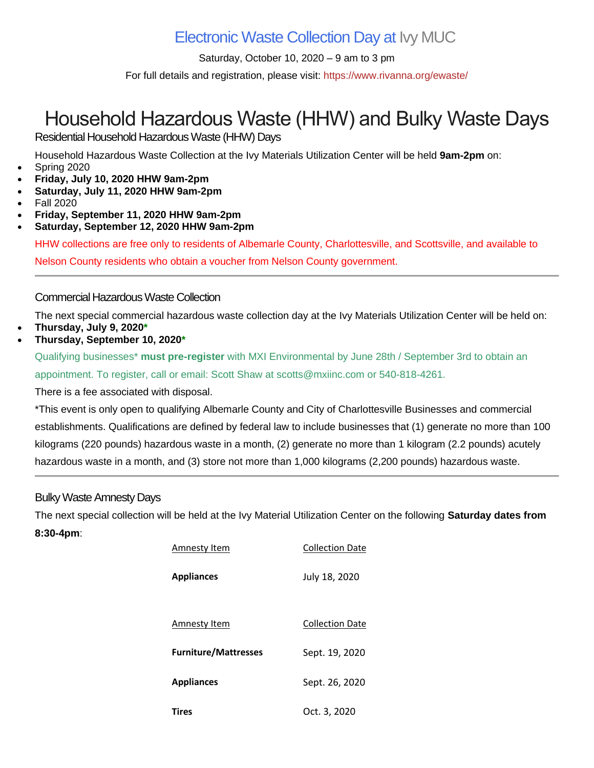### Electronic Waste Collection Day at Ivy [MUC](https://www.rivanna.org/ivy-material-utilization-center-muc/)

Saturday, October 10, 2020 – 9 am to 3 pm

For full details and registration, please visit: <https://www.rivanna.org/ewaste/>

## Household Hazardous Waste (HHW) and Bulky Waste Days

Residential Household Hazardous Waste (HHW) Days

Household Hazardous Waste Collection at the Ivy Materials Utilization Center will be held **9am-2pm** on:

- Spring 2020
- **Friday, July 10, 2020 HHW 9am-2pm**
- **Saturday, July 11, 2020 HHW 9am-2pm**
- Fall 2020
- **Friday, September 11, 2020 HHW 9am-2pm**
- **Saturday, September 12, 2020 HHW 9am-2pm**

HHW collections are free only to residents of Albemarle County, Charlottesville, and Scottsville, and available to Nelson County residents who obtain a voucher from Nelson County government.

#### Commercial Hazardous Waste Collection

The next special commercial hazardous waste collection day at the Ivy Materials Utilization Center will be held on:

- **Thursday, July 9, 2020\***
- **Thursday, September 10, 2020\***

Qualifying businesses\* **must pre-register** with MXI Environmental by June 28th / September 3rd to obtain an appointment. To register, call or email: Scott Shaw at [scotts@mxiinc.com](mailto:scotts@mxiinc.com) or 540-818-4261.

There is a fee associated with disposal.

\*This event is only open to qualifying Albemarle County and City of Charlottesville Businesses and commercial establishments. Qualifications are defined by federal law to include businesses that (1) generate no more than 100 kilograms (220 pounds) hazardous waste in a month, (2) generate no more than 1 kilogram (2.2 pounds) acutely hazardous waste in a month, and (3) store not more than 1,000 kilograms (2,200 pounds) hazardous waste.

#### Bulky Waste Amnesty Days

The next special collection will be held at the Ivy Material Utilization Center on the following **Saturday dates from**

#### **8:30-4pm**:

| Amnesty Item                | <b>Collection Date</b> |
|-----------------------------|------------------------|
| <b>Appliances</b>           | July 18, 2020          |
| Amnesty Item                | <b>Collection Date</b> |
| <b>Furniture/Mattresses</b> | Sept. 19, 2020         |
| <b>Appliances</b>           | Sept. 26, 2020         |
| <b>Tires</b>                | Oct. 3, 2020           |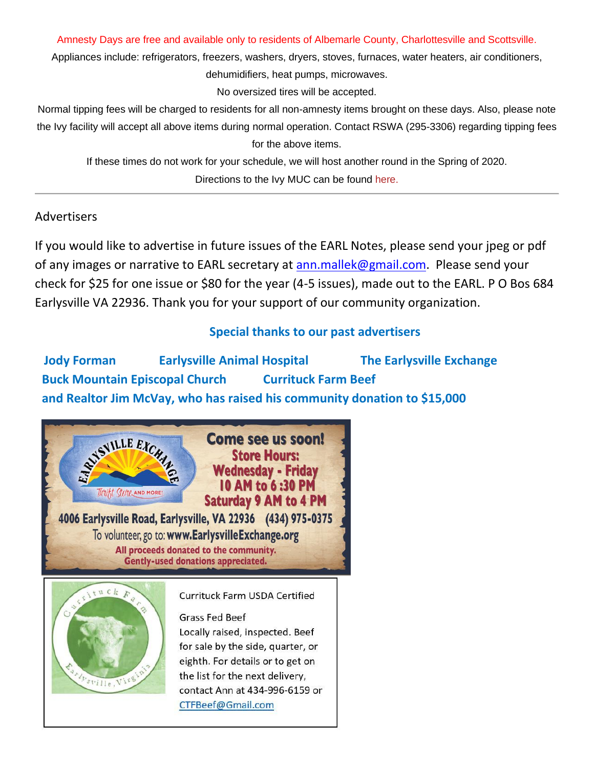Amnesty Days are free and available only to residents of Albemarle County, Charlottesville and Scottsville.

Appliances include: refrigerators, freezers, washers, dryers, stoves, furnaces, water heaters, air conditioners, dehumidifiers, heat pumps, microwaves.

No oversized tires will be accepted.

Normal tipping fees will be charged to residents for all non-amnesty items brought on these days. Also, please note the Ivy facility will accept all above items during normal operation. Contact RSWA (295-3306) regarding tipping fees for the above items.

If these times do not work for your schedule, we will host another round in the Spring of 2020. Directions to the Ivy MUC can be found [here.](https://www.rivanna.org/directions/)

#### Advertisers

If you would like to advertise in future issues of the EARL Notes, please send your jpeg or pdf of any images or narrative to EARL secretary at [ann.mallek@gmail.com.](mailto:ann.mallek@gmail.com) Please send your check for \$25 for one issue or \$80 for the year (4-5 issues), made out to the EARL. P O Bos 684 Earlysville VA 22936. Thank you for your support of our community organization.

### **Special thanks to our past advertisers**

**Jody Forman Earlysville Animal Hospital The Earlysville Exchange Buck Mountain Episcopal Church Currituck Farm Beef and Realtor Jim McVay, who has raised his community donation to \$15,000**

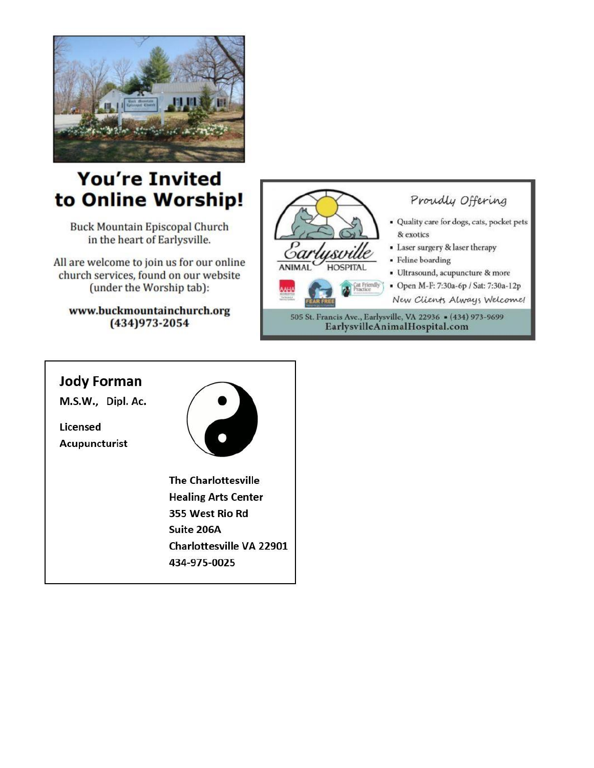

## **You're Invited** to Online Worship!

**Buck Mountain Episcopal Church** in the heart of Earlysville.

All are welcome to join us for our online church services, found on our website (under the Worship tab):

www.buckmountainchurch.org (434) 973-2054



## **Jody Forman** M.S.W., Dipl. Ac. Licensed Acupuncturist **The Charlottesville Healing Arts Center** 355 West Rio Rd Suite 206A **Charlottesville VA 22901** 434-975-0025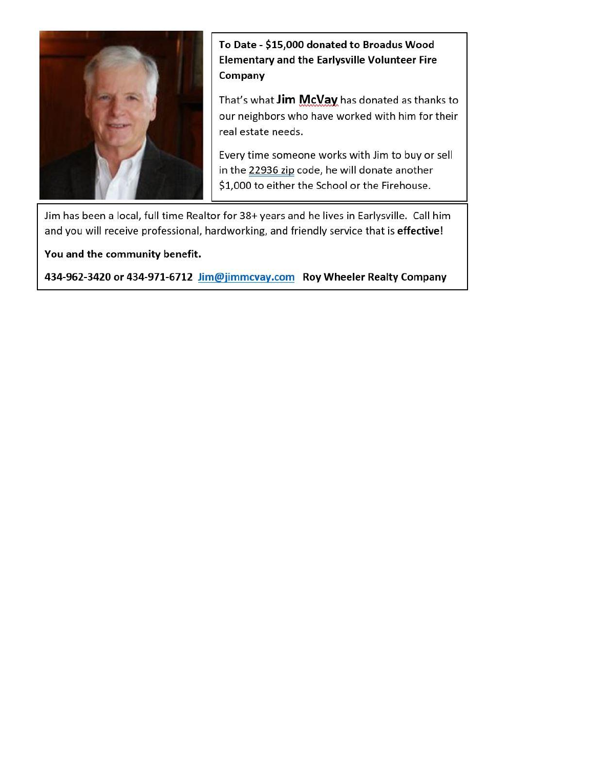

To Date - \$15,000 donated to Broadus Wood **Elementary and the Earlysville Volunteer Fire** Company

That's what Jim McVay has donated as thanks to our neighbors who have worked with him for their real estate needs.

Every time someone works with Jim to buy or sell in the 22936 zip code, he will donate another \$1,000 to either the School or the Firehouse.

Jim has been a local, full time Realtor for 38+ years and he lives in Earlysville. Call him and you will receive professional, hardworking, and friendly service that is effective!

You and the community benefit.

434-962-3420 or 434-971-6712 Jim@jimmcvay.com Roy Wheeler Realty Company